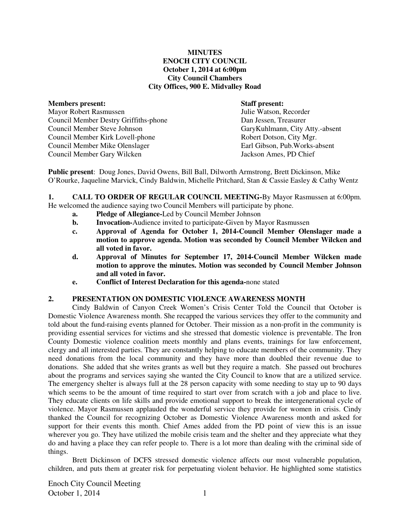## **MINUTES ENOCH CITY COUNCIL October 1, 2014 at 6:00pm City Council Chambers City Offices, 900 E. Midvalley Road**

### **Members present: Staff present:**

Mayor Robert Rasmussen Julie Watson, Recorder Council Member Destry Griffiths-phone Dan Jessen, Treasurer Council Member Steve Johnson GaryKuhlmann, City Atty.-absent Council Member Kirk Lovell-phone Robert Dotson, City Mgr. Council Member Mike Olenslager Earl Gibson, Pub.Works-absent Council Member Gary Wilcken Jackson Ames, PD Chief

**Public present**: Doug Jones, David Owens, Bill Ball, Dilworth Armstrong, Brett Dickinson, Mike O'Rourke, Jaqueline Marvick, Cindy Baldwin, Michelle Pritchard, Stan & Cassie Easley & Cathy Wentz

**1. CALL TO ORDER OF REGULAR COUNCIL MEETING-**By Mayor Rasmussen at 6:00pm. He welcomed the audience saying two Council Members will participate by phone.

- **a. Pledge of Allegiance-**Led by Council Member Johnson
- **b.** Invocation-Audience invited to participate-Given by Mayor Rasmussen
- **c. Approval of Agenda for October 1, 2014-Council Member Olenslager made a motion to approve agenda. Motion was seconded by Council Member Wilcken and all voted in favor.**
- **d. Approval of Minutes for September 17, 2014-Council Member Wilcken made motion to approve the minutes. Motion was seconded by Council Member Johnson and all voted in favor.**
- **e. Conflict of Interest Declaration for this agenda-**none stated

# **2. PRESENTATION ON DOMESTIC VIOLENCE AWARENESS MONTH**

Cindy Baldwin of Canyon Creek Women's Crisis Center Told the Council that October is Domestic Violence Awareness month. She recapped the various services they offer to the community and told about the fund-raising events planned for October. Their mission as a non-profit in the community is providing essential services for victims and she stressed that domestic violence is preventable. The Iron County Domestic violence coalition meets monthly and plans events, trainings for law enforcement, clergy and all interested parties. They are constantly helping to educate members of the community. They need donations from the local community and they have more than doubled their revenue due to donations. She added that she writes grants as well but they require a match. She passed out brochures about the programs and services saying she wanted the City Council to know that are a utilized service. The emergency shelter is always full at the 28 person capacity with some needing to stay up to 90 days which seems to be the amount of time required to start over from scratch with a job and place to live. They educate clients on life skills and provide emotional support to break the intergenerational cycle of violence. Mayor Rasmussen applauded the wonderful service they provide for women in crisis. Cindy thanked the Council for recognizing October as Domestic Violence Awareness month and asked for support for their events this month. Chief Ames added from the PD point of view this is an issue wherever you go. They have utilized the mobile crisis team and the shelter and they appreciate what they do and having a place they can refer people to. There is a lot more than dealing with the criminal side of things.

Brett Dickinson of DCFS stressed domestic violence affects our most vulnerable population, children, and puts them at greater risk for perpetuating violent behavior. He highlighted some statistics

Enoch City Council Meeting October 1, 2014 1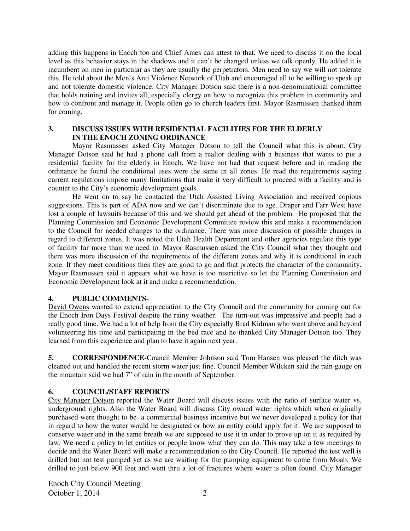adding this happens in Enoch too and Chief Ames can attest to that. We need to discuss it on the local level as this behavior stays in the shadows and it can't be changed unless we talk openly. He added it is incumbent on men in particular as they are usually the perpetrators. Men need to say we will not tolerate this. He told about the Men's Anti Violence Network of Utah and encouraged all to be willing to speak up and not tolerate domestic violence. City Manager Dotson said there is a non-denominational committee that holds training and invites all, especially clergy on how to recognize this problem in community and how to confront and manage it. People often go to church leaders first. Mayor Rasmussen thanked them for coming.

# **3. DISCUSS ISSUES WITH RESIDENTIAL FACILITIES FOR THE ELDERLY IN THE ENOCH ZONING ORDINANCE**

Mayor Rasmussen asked City Manager Dotson to tell the Council what this is about. City Manager Dotson said he had a phone call from a realtor dealing with a business that wants to put a residential facility for the elderly in Enoch. We have not had that request before and in reading the ordinance he found the conditional uses were the same in all zones. He read the requirements saying current regulations impose many limitations that make it very difficult to proceed with a facility and is counter to the City's economic development goals.

He went on to say he contacted the Utah Assisted Living Association and received copious suggestions. This is part of ADA now and we can't discriminate due to age. Draper and Farr West have lost a couple of lawsuits because of this and we should get ahead of the problem.He proposed that the Planning Commission and Economic Development Committee review this and make a recommendation to the Council for needed changes to the ordinance. There was more discussion of possible changes in regard to different zones. It was noted the Utah Health Department and other agencies regulate this type of facility far more than we need to. Mayor Rasmussen asked the City Council what they thought and there was more discussion of the requirements of the different zones and why it is conditional in each zone. If they meet conditions then they are good to go and that protects the character of the community. Mayor Rasmussen said it appears what we have is too restrictive so let the Planning Commission and Economic Development look at it and make a recommendation.

# **4. PUBLIC COMMENTS-**

David Owens wanted to extend appreciation to the City Council and the community for coming out for the Enoch Iron Days Festival despite the rainy weather. The turn-out was impressive and people had a really good time. We had a lot of help from the City especially Brad Kidman who went above and beyond volunteering his time and participating in the bed race and he thanked City Manager Dotson too. They learned from this experience and plan to have it again next year.

**5. CORRESPONDENCE-**Council Member Johnson said Tom Hansen was pleased the ditch was cleaned out and handled the recent storm water just fine. Council Member Wilcken said the rain gauge on the mountain said we had 7" of rain in the month of September.

# **6. COUNCIL/STAFF REPORTS**

City Manager Dotson reported the Water Board will discuss issues with the ratio of surface water vs. underground rights. Also the Water Board will discuss City owned water rights which when originally purchased were thought to be a commercial business incentive but we never developed a policy for that in regard to how the water would be designated or how an entity could apply for it. We are supposed to conserve water and in the same breath we are supposed to use it in order to prove up on it as required by law. We need a policy to let entities or people know what they can do. This may take a few meetings to decide and the Water Board will make a recommendation to the City Council. He reported the test well is drilled but not test pumped yet as we are waiting for the pumping equipment to come from Moab. We drilled to just below 900 feet and went thru a lot of fractures where water is often found. City Manager

Enoch City Council Meeting October 1, 2014 2